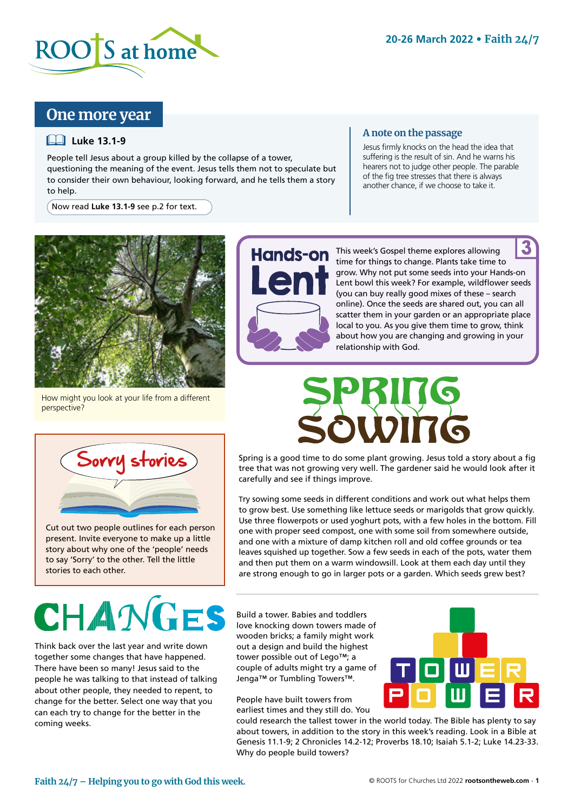

# **One more year**

## **Luke 13.1-9**

People tell Jesus about a group killed by the collapse of a tower, questioning the meaning of the event. Jesus tells them not to speculate but to consider their own behaviour, looking forward, and he tells them a story to help.

Now read **Luke 13.1-9** see p.2 for text.

## **A note on the passage**

Jesus firmly knocks on the head the idea that suffering is the result of sin. And he warns his hearers not to judge other people. The parable of the fig tree stresses that there is always another chance, if we choose to take it.



How might you look at your life from a different perspective?



Cut out two people outlines for each person present. Invite everyone to make up a little story about why one of the 'people' needs to say 'Sorry' to the other. Tell the little stories to each other.

Think back over the last year and write down together some changes that have happened. There have been so many! Jesus said to the people he was talking to that instead of talking about other people, they needed to repent, to change for the better. Select one way that you can each try to change for the better in the coming weeks.



Hands-on This week's Gospel theme explores allowing time for things to change. Plants take time to grow. Why not put some seeds into your Hands-on Lent bowl this week? For example, wildflower seeds (you can buy really good mixes of these – search online). Once the seeds are shared out, you can all scatter them in your garden or an appropriate place local to you. As you give them time to grow, think about how you are changing and growing in your relationship with God. 3

Spring is a good time to do some plant growing. Jesus told a story about a fig tree that was not growing very well. The gardener said he would look after it carefully and see if things improve.

Try sowing some seeds in different conditions and work out what helps them to grow best. Use something like lettuce seeds or marigolds that grow quickly. Use three flowerpots or used yoghurt pots, with a few holes in the bottom. Fill one with proper seed compost, one with some soil from somewhere outside, and one with a mixture of damp kitchen roll and old coffee grounds or tea leaves squished up together. Sow a few seeds in each of the pots, water them and then put them on a warm windowsill. Look at them each day until they are strong enough to go in larger pots or a garden. Which seeds grew best?

Build a tower. Babies and toddlers love knocking down towers made of wooden bricks; a family might work out a design and build the highest tower possible out of Lego™; a couple of adults might try a game of Jenga™ or Tumbling Towers™.

People have built towers from earliest times and they still do. You



could research the tallest tower in the world today. The Bible has plenty to say about towers, in addition to the story in this week's reading. Look in a Bible at Genesis 11.1-9; 2 Chronicles 14.2-12; Proverbs 18.10; Isaiah 5.1-2; Luke 14.23-33. Why do people build towers?